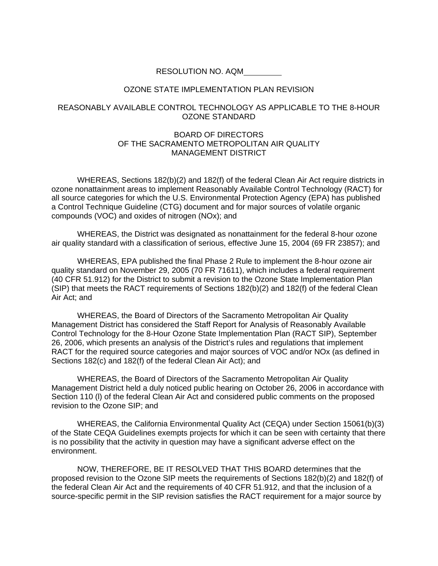RESOLUTION NO. AQM

## OZONE STATE IMPLEMENTATION PLAN REVISION

## REASONABLY AVAILABLE CONTROL TECHNOLOGY AS APPLICABLE TO THE 8-HOUR OZONE STANDARD

## BOARD OF DIRECTORS OF THE SACRAMENTO METROPOLITAN AIR QUALITY MANAGEMENT DISTRICT

WHEREAS, Sections 182(b)(2) and 182(f) of the federal Clean Air Act require districts in ozone nonattainment areas to implement Reasonably Available Control Technology (RACT) for all source categories for which the U.S. Environmental Protection Agency (EPA) has published a Control Technique Guideline (CTG) document and for major sources of volatile organic compounds (VOC) and oxides of nitrogen (NOx); and

WHEREAS, the District was designated as nonattainment for the federal 8-hour ozone air quality standard with a classification of serious, effective June 15, 2004 (69 FR 23857); and

WHEREAS, EPA published the final Phase 2 Rule to implement the 8-hour ozone air quality standard on November 29, 2005 (70 FR 71611), which includes a federal requirement (40 CFR 51.912) for the District to submit a revision to the Ozone State Implementation Plan (SIP) that meets the RACT requirements of Sections 182(b)(2) and 182(f) of the federal Clean Air Act; and

WHEREAS, the Board of Directors of the Sacramento Metropolitan Air Quality Management District has considered the Staff Report for Analysis of Reasonably Available Control Technology for the 8-Hour Ozone State Implementation Plan (RACT SIP), September 26, 2006, which presents an analysis of the District's rules and regulations that implement RACT for the required source categories and major sources of VOC and/or NOx (as defined in Sections 182(c) and 182(f) of the federal Clean Air Act); and

WHEREAS, the Board of Directors of the Sacramento Metropolitan Air Quality Management District held a duly noticed public hearing on October 26, 2006 in accordance with Section 110 (I) of the federal Clean Air Act and considered public comments on the proposed revision to the Ozone SIP; and

WHEREAS, the California Environmental Quality Act (CEQA) under Section 15061(b)(3) of the State CEQA Guidelines exempts projects for which it can be seen with certainty that there is no possibility that the activity in question may have a significant adverse effect on the environment.

NOW, THEREFORE, BE IT RESOLVED THAT THIS BOARD determines that the proposed revision to the Ozone SIP meets the requirements of Sections 182(b)(2) and 182(f) of the federal Clean Air Act and the requirements of 40 CFR 51.912, and that the inclusion of a source-specific permit in the SIP revision satisfies the RACT requirement for a major source by